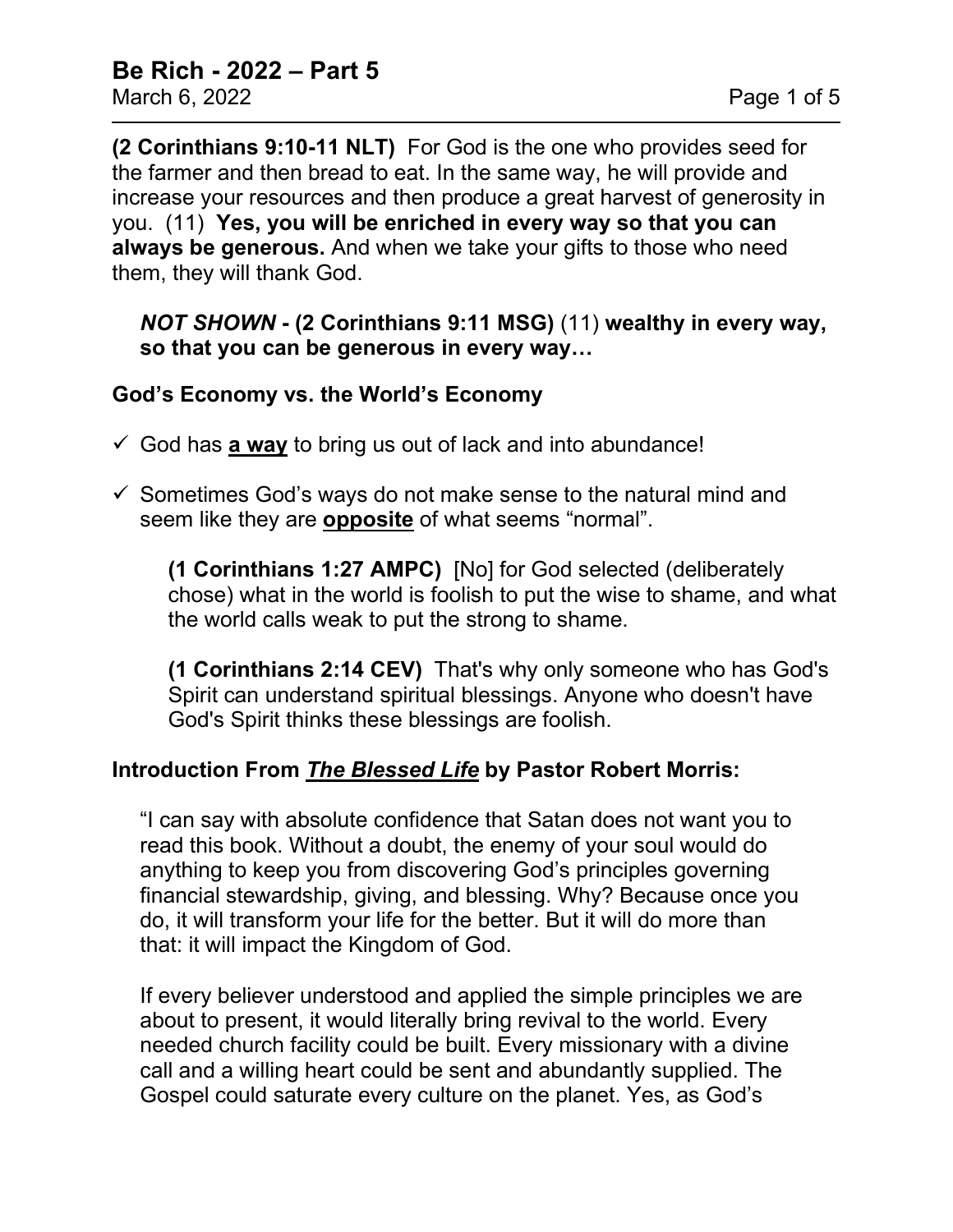**(2 Corinthians 9:10-11 NLT)** For God is the one who provides seed for the farmer and then bread to eat. In the same way, he will provide and increase your resources and then produce a great harvest of generosity in you. (11) **Yes, you will be enriched in every way so that you can always be generous.** And when we take your gifts to those who need them, they will thank God.

### *NOT SHOWN* **- (2 Corinthians 9:11 MSG)** (11) **wealthy in every way, so that you can be generous in every way…**

#### **God's Economy vs. the World's Economy**

- $\checkmark$  God has **a way** to bring us out of lack and into abundance!
- $\checkmark$  Sometimes God's ways do not make sense to the natural mind and seem like they are **opposite** of what seems "normal".

**(1 Corinthians 1:27 AMPC)** [No] for God selected (deliberately chose) what in the world is foolish to put the wise to shame, and what the world calls weak to put the strong to shame.

**(1 Corinthians 2:14 CEV)** That's why only someone who has God's Spirit can understand spiritual blessings. Anyone who doesn't have God's Spirit thinks these blessings are foolish.

### **Introduction From** *The Blessed Life* **by Pastor Robert Morris:**

"I can say with absolute confidence that Satan does not want you to read this book. Without a doubt, the enemy of your soul would do anything to keep you from discovering God's principles governing financial stewardship, giving, and blessing. Why? Because once you do, it will transform your life for the better. But it will do more than that: it will impact the Kingdom of God.

If every believer understood and applied the simple principles we are about to present, it would literally bring revival to the world. Every needed church facility could be built. Every missionary with a divine call and a willing heart could be sent and abundantly supplied. The Gospel could saturate every culture on the planet. Yes, as God's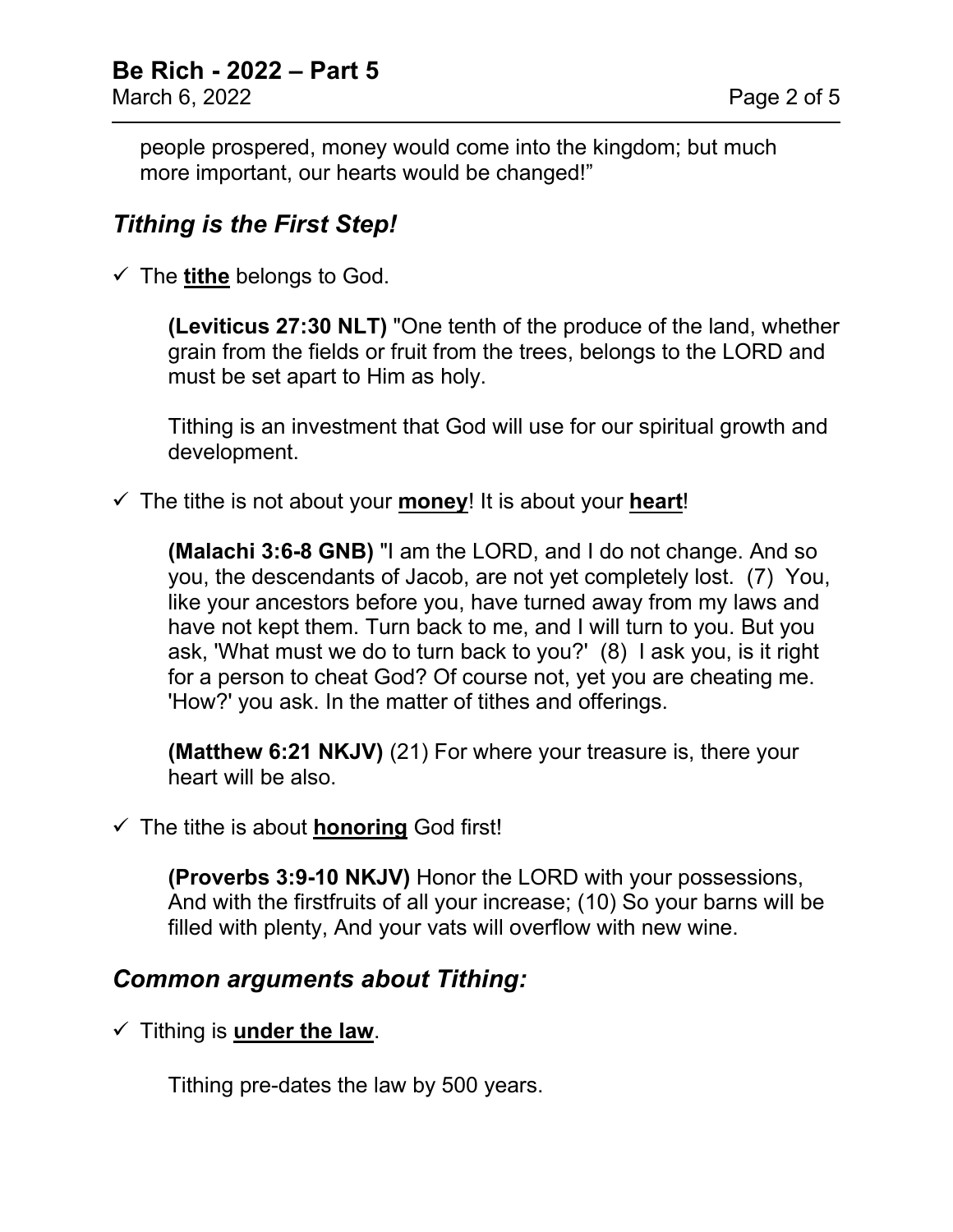people prospered, money would come into the kingdom; but much more important, our hearts would be changed!"

## *Tithing is the First Step!*

The **tithe** belongs to God.

**(Leviticus 27:30 NLT)** "One tenth of the produce of the land, whether grain from the fields or fruit from the trees, belongs to the LORD and must be set apart to Him as holy.

Tithing is an investment that God will use for our spiritual growth and development.

The tithe is not about your **money**! It is about your **heart**!

**(Malachi 3:6-8 GNB)** "I am the LORD, and I do not change. And so you, the descendants of Jacob, are not yet completely lost. (7) You, like your ancestors before you, have turned away from my laws and have not kept them. Turn back to me, and I will turn to you. But you ask, 'What must we do to turn back to you?' (8) I ask you, is it right for a person to cheat God? Of course not, yet you are cheating me. 'How?' you ask. In the matter of tithes and offerings.

**(Matthew 6:21 NKJV)** (21) For where your treasure is, there your heart will be also.

#### $\checkmark$  The tithe is about **honoring** God first!

**(Proverbs 3:9-10 NKJV)** Honor the LORD with your possessions, And with the firstfruits of all your increase; (10) So your barns will be filled with plenty, And your vats will overflow with new wine.

### *Common arguments about Tithing:*

 $\checkmark$  Tithing is **under the law**.

Tithing pre-dates the law by 500 years.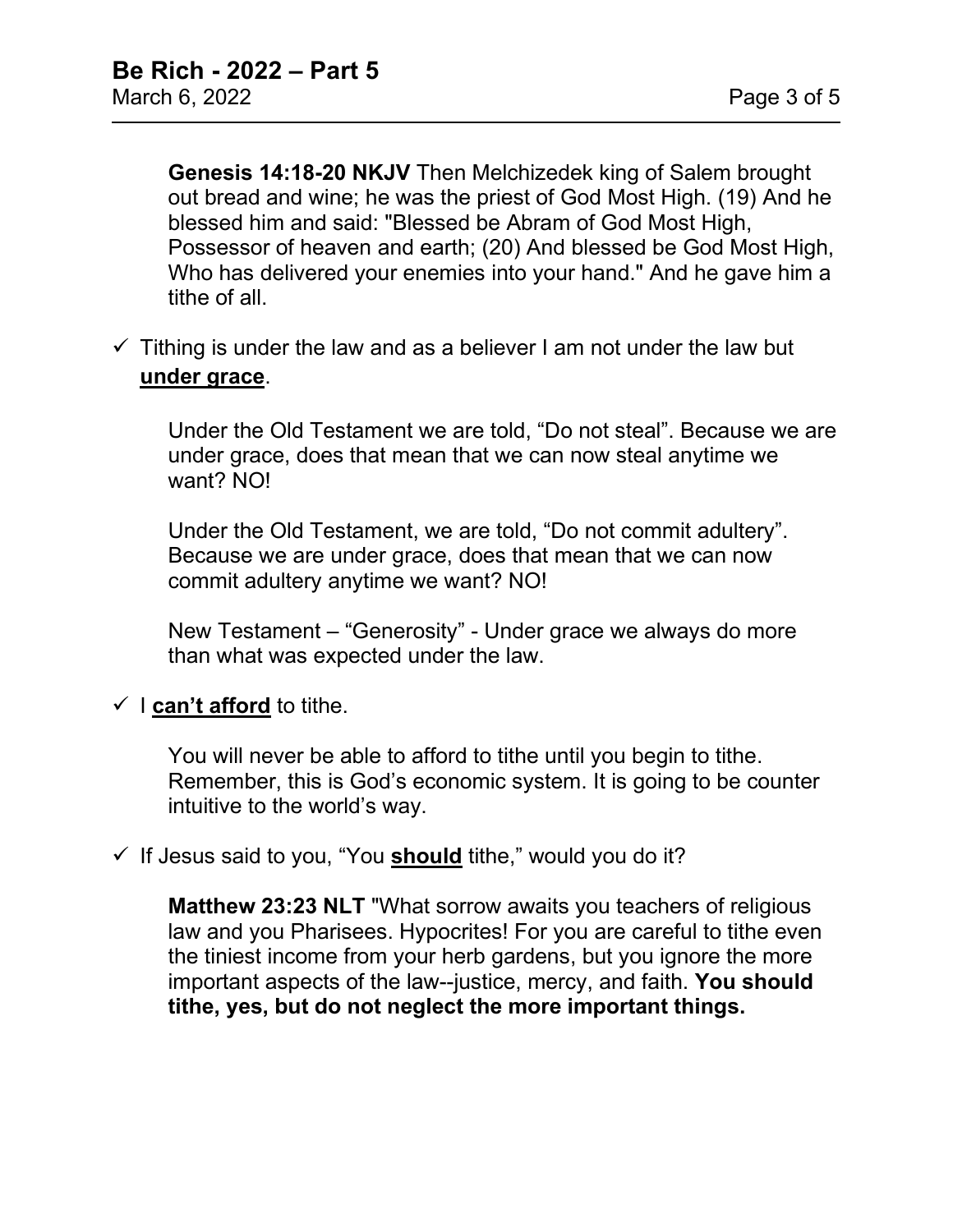**Genesis 14:18-20 NKJV** Then Melchizedek king of Salem brought out bread and wine; he was the priest of God Most High. (19) And he blessed him and said: "Blessed be Abram of God Most High. Possessor of heaven and earth; (20) And blessed be God Most High, Who has delivered your enemies into your hand." And he gave him a tithe of all.

 $\checkmark$  Tithing is under the law and as a believer I am not under the law but **under grace**.

Under the Old Testament we are told, "Do not steal". Because we are under grace, does that mean that we can now steal anytime we want? NO!

Under the Old Testament, we are told, "Do not commit adultery". Because we are under grace, does that mean that we can now commit adultery anytime we want? NO!

New Testament – "Generosity" - Under grace we always do more than what was expected under the law.

 $\checkmark$  **can't afford** to tithe.

You will never be able to afford to tithe until you begin to tithe. Remember, this is God's economic system. It is going to be counter intuitive to the world's way.

 $\checkmark$  If Jesus said to you, "You **should** tithe," would you do it?

**Matthew 23:23 NLT** "What sorrow awaits you teachers of religious law and you Pharisees. Hypocrites! For you are careful to tithe even the tiniest income from your herb gardens, but you ignore the more important aspects of the law--justice, mercy, and faith. **You should tithe, yes, but do not neglect the more important things.**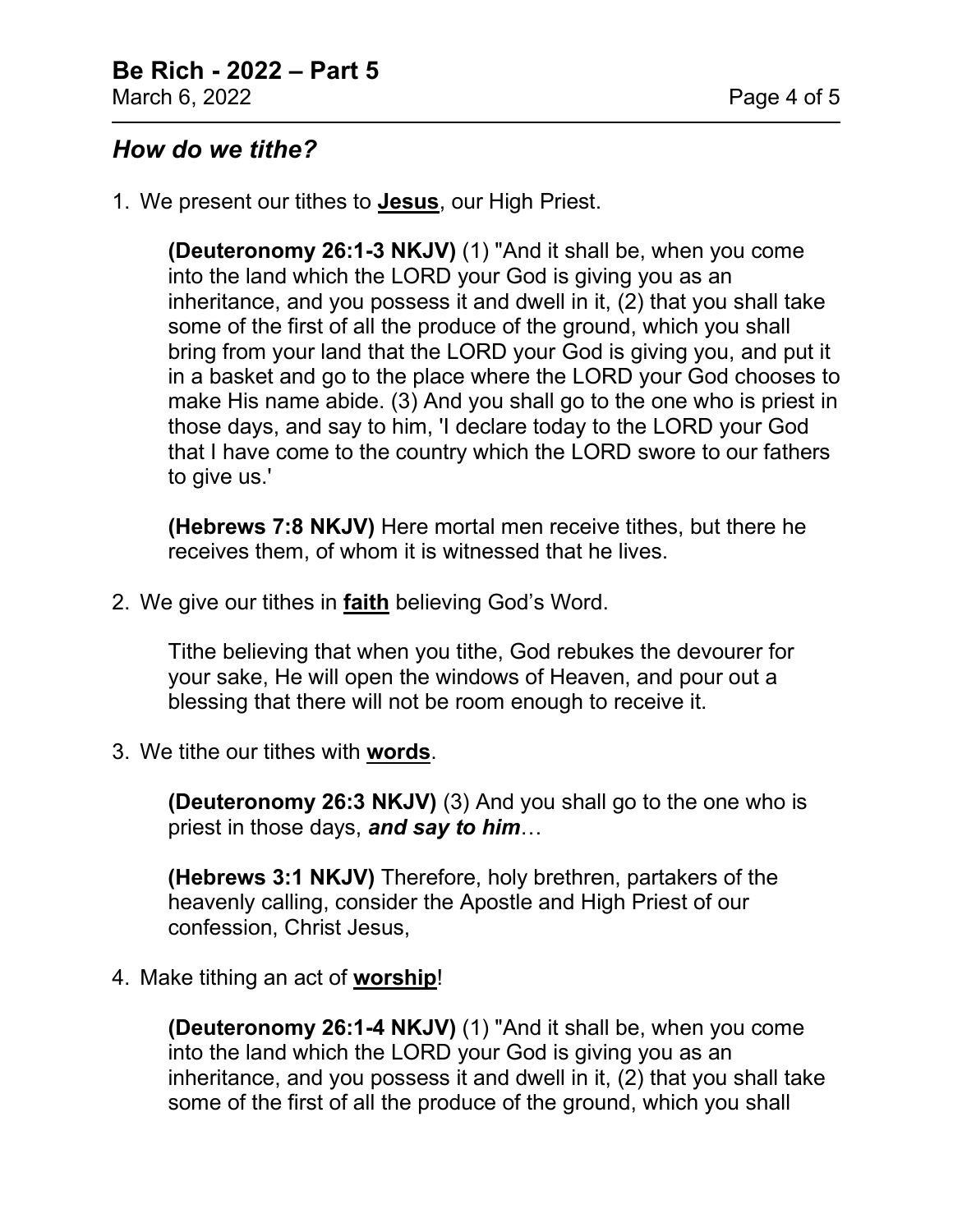# *How do we tithe?*

1. We present our tithes to **Jesus**, our High Priest.

**(Deuteronomy 26:1-3 NKJV)** (1) "And it shall be, when you come into the land which the LORD your God is giving you as an inheritance, and you possess it and dwell in it, (2) that you shall take some of the first of all the produce of the ground, which you shall bring from your land that the LORD your God is giving you, and put it in a basket and go to the place where the LORD your God chooses to make His name abide. (3) And you shall go to the one who is priest in those days, and say to him, 'I declare today to the LORD your God that I have come to the country which the LORD swore to our fathers to give us.'

**(Hebrews 7:8 NKJV)** Here mortal men receive tithes, but there he receives them, of whom it is witnessed that he lives.

2. We give our tithes in **faith** believing God's Word.

Tithe believing that when you tithe, God rebukes the devourer for your sake, He will open the windows of Heaven, and pour out a blessing that there will not be room enough to receive it.

3. We tithe our tithes with **words**.

**(Deuteronomy 26:3 NKJV)** (3) And you shall go to the one who is priest in those days, *and say to him*…

**(Hebrews 3:1 NKJV)** Therefore, holy brethren, partakers of the heavenly calling, consider the Apostle and High Priest of our confession, Christ Jesus,

4. Make tithing an act of **worship**!

**(Deuteronomy 26:1-4 NKJV)** (1) "And it shall be, when you come into the land which the LORD your God is giving you as an inheritance, and you possess it and dwell in it, (2) that you shall take some of the first of all the produce of the ground, which you shall